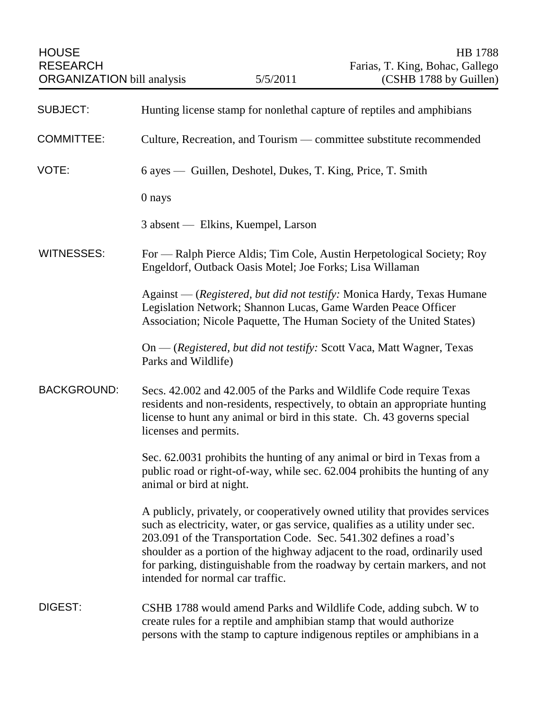| <b>HOUSE</b><br><b>RESEARCH</b><br><b>ORGANIZATION</b> bill analysis |                                                                                                                                                                                                                                                          | 5/5/2011                           | <b>HB</b> 1788<br>Farias, T. King, Bohac, Gallego<br>(CSHB 1788 by Guillen)                                                                                                                                                                                                                                                                                                                   |
|----------------------------------------------------------------------|----------------------------------------------------------------------------------------------------------------------------------------------------------------------------------------------------------------------------------------------------------|------------------------------------|-----------------------------------------------------------------------------------------------------------------------------------------------------------------------------------------------------------------------------------------------------------------------------------------------------------------------------------------------------------------------------------------------|
| <b>SUBJECT:</b>                                                      | Hunting license stamp for nonlethal capture of reptiles and amphibians                                                                                                                                                                                   |                                    |                                                                                                                                                                                                                                                                                                                                                                                               |
| <b>COMMITTEE:</b>                                                    | Culture, Recreation, and Tourism — committee substitute recommended                                                                                                                                                                                      |                                    |                                                                                                                                                                                                                                                                                                                                                                                               |
| VOTE:                                                                | 6 ayes — Guillen, Deshotel, Dukes, T. King, Price, T. Smith                                                                                                                                                                                              |                                    |                                                                                                                                                                                                                                                                                                                                                                                               |
|                                                                      | 0 nays                                                                                                                                                                                                                                                   |                                    |                                                                                                                                                                                                                                                                                                                                                                                               |
|                                                                      |                                                                                                                                                                                                                                                          | 3 absent — Elkins, Kuempel, Larson |                                                                                                                                                                                                                                                                                                                                                                                               |
| <b>WITNESSES:</b>                                                    | For — Ralph Pierce Aldis; Tim Cole, Austin Herpetological Society; Roy<br>Engeldorf, Outback Oasis Motel; Joe Forks; Lisa Willaman                                                                                                                       |                                    |                                                                                                                                                                                                                                                                                                                                                                                               |
|                                                                      | Against — (Registered, but did not testify: Monica Hardy, Texas Humane<br>Legislation Network; Shannon Lucas, Game Warden Peace Officer<br>Association; Nicole Paquette, The Human Society of the United States)                                         |                                    |                                                                                                                                                                                                                                                                                                                                                                                               |
|                                                                      | Parks and Wildlife)                                                                                                                                                                                                                                      |                                    | On — (Registered, but did not testify: Scott Vaca, Matt Wagner, Texas                                                                                                                                                                                                                                                                                                                         |
| <b>BACKGROUND:</b>                                                   | Secs. 42.002 and 42.005 of the Parks and Wildlife Code require Texas<br>residents and non-residents, respectively, to obtain an appropriate hunting<br>license to hunt any animal or bird in this state. Ch. 43 governs special<br>licenses and permits. |                                    |                                                                                                                                                                                                                                                                                                                                                                                               |
|                                                                      | animal or bird at night.                                                                                                                                                                                                                                 |                                    | Sec. 62.0031 prohibits the hunting of any animal or bird in Texas from a<br>public road or right-of-way, while sec. 62.004 prohibits the hunting of any                                                                                                                                                                                                                                       |
|                                                                      | intended for normal car traffic.                                                                                                                                                                                                                         |                                    | A publicly, privately, or cooperatively owned utility that provides services<br>such as electricity, water, or gas service, qualifies as a utility under sec.<br>203.091 of the Transportation Code. Sec. 541.302 defines a road's<br>shoulder as a portion of the highway adjacent to the road, ordinarily used<br>for parking, distinguishable from the roadway by certain markers, and not |
| <b>DIGEST:</b>                                                       | CSHB 1788 would amend Parks and Wildlife Code, adding subch. W to<br>create rules for a reptile and amphibian stamp that would authorize<br>persons with the stamp to capture indigenous reptiles or amphibians in a                                     |                                    |                                                                                                                                                                                                                                                                                                                                                                                               |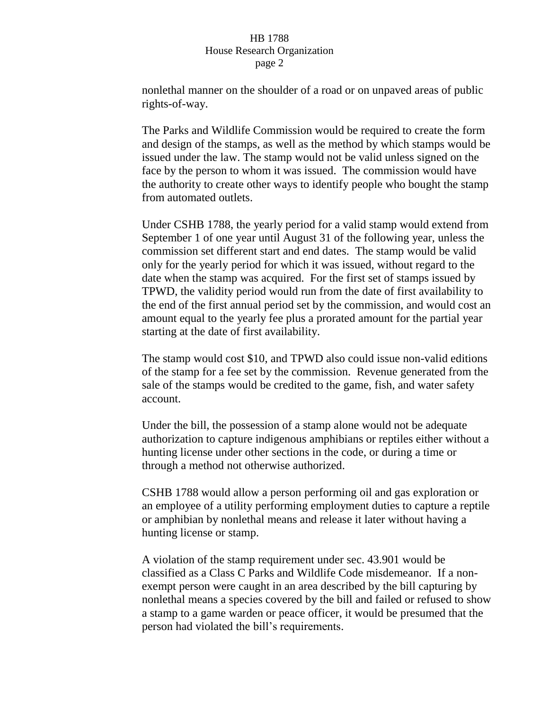nonlethal manner on the shoulder of a road or on unpaved areas of public rights-of-way.

The Parks and Wildlife Commission would be required to create the form and design of the stamps, as well as the method by which stamps would be issued under the law. The stamp would not be valid unless signed on the face by the person to whom it was issued. The commission would have the authority to create other ways to identify people who bought the stamp from automated outlets.

Under CSHB 1788, the yearly period for a valid stamp would extend from September 1 of one year until August 31 of the following year, unless the commission set different start and end dates. The stamp would be valid only for the yearly period for which it was issued, without regard to the date when the stamp was acquired. For the first set of stamps issued by TPWD, the validity period would run from the date of first availability to the end of the first annual period set by the commission, and would cost an amount equal to the yearly fee plus a prorated amount for the partial year starting at the date of first availability.

The stamp would cost \$10, and TPWD also could issue non-valid editions of the stamp for a fee set by the commission. Revenue generated from the sale of the stamps would be credited to the game, fish, and water safety account.

Under the bill, the possession of a stamp alone would not be adequate authorization to capture indigenous amphibians or reptiles either without a hunting license under other sections in the code, or during a time or through a method not otherwise authorized.

CSHB 1788 would allow a person performing oil and gas exploration or an employee of a utility performing employment duties to capture a reptile or amphibian by nonlethal means and release it later without having a hunting license or stamp.

A violation of the stamp requirement under sec. 43.901 would be classified as a Class C Parks and Wildlife Code misdemeanor. If a nonexempt person were caught in an area described by the bill capturing by nonlethal means a species covered by the bill and failed or refused to show a stamp to a game warden or peace officer, it would be presumed that the person had violated the bill's requirements.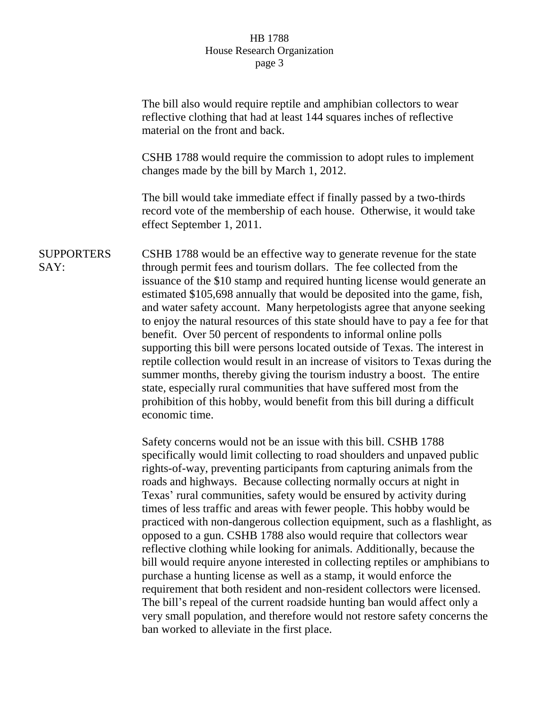The bill also would require reptile and amphibian collectors to wear reflective clothing that had at least 144 squares inches of reflective material on the front and back. CSHB 1788 would require the commission to adopt rules to implement changes made by the bill by March 1, 2012. The bill would take immediate effect if finally passed by a two-thirds record vote of the membership of each house. Otherwise, it would take effect September 1, 2011. **SUPPORTERS** SAY: CSHB 1788 would be an effective way to generate revenue for the state through permit fees and tourism dollars. The fee collected from the issuance of the \$10 stamp and required hunting license would generate an estimated \$105,698 annually that would be deposited into the game, fish, and water safety account. Many herpetologists agree that anyone seeking to enjoy the natural resources of this state should have to pay a fee for that benefit. Over 50 percent of respondents to informal online polls supporting this bill were persons located outside of Texas. The interest in reptile collection would result in an increase of visitors to Texas during the summer months, thereby giving the tourism industry a boost. The entire state, especially rural communities that have suffered most from the prohibition of this hobby, would benefit from this bill during a difficult economic time. Safety concerns would not be an issue with this bill. CSHB 1788 specifically would limit collecting to road shoulders and unpaved public rights-of-way, preventing participants from capturing animals from the roads and highways. Because collecting normally occurs at night in Texas' rural communities, safety would be ensured by activity during times of less traffic and areas with fewer people. This hobby would be practiced with non-dangerous collection equipment, such as a flashlight, as opposed to a gun. CSHB 1788 also would require that collectors wear reflective clothing while looking for animals. Additionally, because the bill would require anyone interested in collecting reptiles or amphibians to purchase a hunting license as well as a stamp, it would enforce the requirement that both resident and non-resident collectors were licensed. The bill's repeal of the current roadside hunting ban would affect only a very small population, and therefore would not restore safety concerns the ban worked to alleviate in the first place.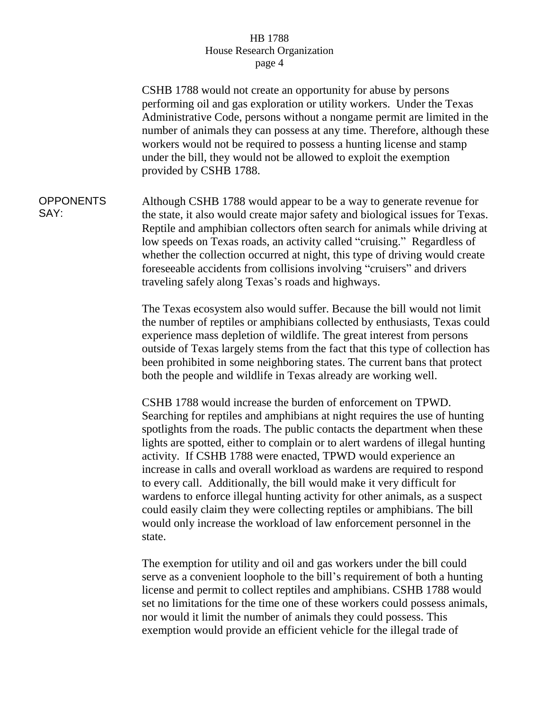CSHB 1788 would not create an opportunity for abuse by persons performing oil and gas exploration or utility workers. Under the Texas Administrative Code, persons without a nongame permit are limited in the number of animals they can possess at any time. Therefore, although these workers would not be required to possess a hunting license and stamp under the bill, they would not be allowed to exploit the exemption provided by CSHB 1788. **OPPONENTS** SAY: Although CSHB 1788 would appear to be a way to generate revenue for the state, it also would create major safety and biological issues for Texas. Reptile and amphibian collectors often search for animals while driving at low speeds on Texas roads, an activity called "cruising." Regardless of whether the collection occurred at night, this type of driving would create foreseeable accidents from collisions involving "cruisers" and drivers traveling safely along Texas's roads and highways. The Texas ecosystem also would suffer. Because the bill would not limit the number of reptiles or amphibians collected by enthusiasts, Texas could experience mass depletion of wildlife. The great interest from persons outside of Texas largely stems from the fact that this type of collection has been prohibited in some neighboring states. The current bans that protect both the people and wildlife in Texas already are working well. CSHB 1788 would increase the burden of enforcement on TPWD. Searching for reptiles and amphibians at night requires the use of hunting spotlights from the roads. The public contacts the department when these lights are spotted, either to complain or to alert wardens of illegal hunting activity. If CSHB 1788 were enacted, TPWD would experience an increase in calls and overall workload as wardens are required to respond to every call. Additionally, the bill would make it very difficult for wardens to enforce illegal hunting activity for other animals, as a suspect could easily claim they were collecting reptiles or amphibians. The bill would only increase the workload of law enforcement personnel in the state.

> The exemption for utility and oil and gas workers under the bill could serve as a convenient loophole to the bill's requirement of both a hunting license and permit to collect reptiles and amphibians. CSHB 1788 would set no limitations for the time one of these workers could possess animals, nor would it limit the number of animals they could possess. This exemption would provide an efficient vehicle for the illegal trade of